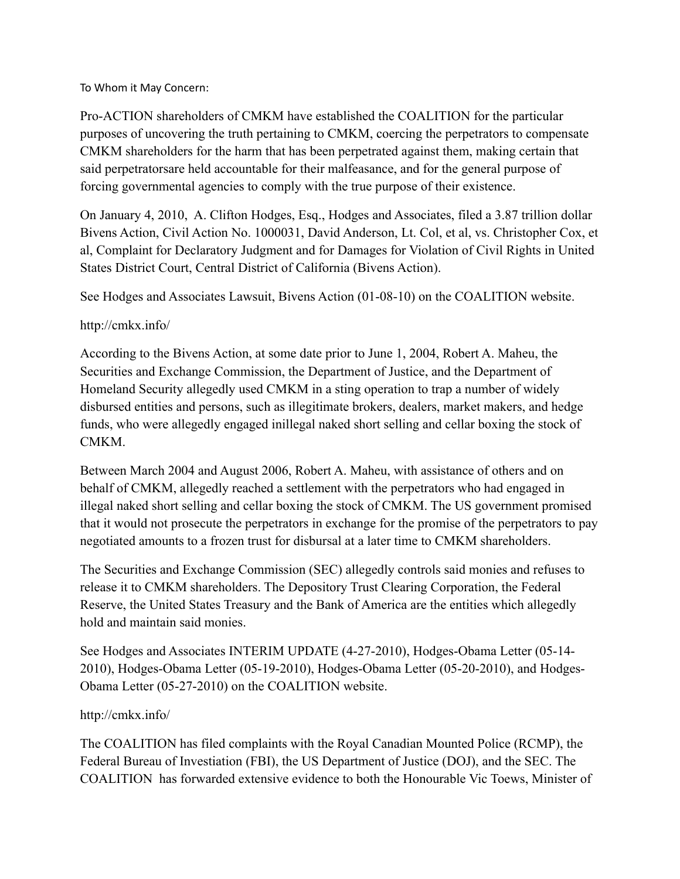To Whom it May Concern:

Pro-ACTION shareholders of CMKM have established the COALITION for the particular purposes of uncovering the truth pertaining to CMKM, coercing the perpetrators to compensate CMKM shareholders for the harm that has been perpetrated against them, making certain that said perpetratorsare held accountable for their malfeasance, and for the general purpose of forcing governmental agencies to comply with the true purpose of their existence.

On January 4, 2010, A. Clifton Hodges, Esq., Hodges and Associates, filed a 3.87 trillion dollar Bivens Action, Civil Action No. 1000031, David Anderson, Lt. Col, et al, vs. Christopher Cox, et al, Complaint for Declaratory Judgment and for Damages for Violation of Civil Rights in United States District Court, Central District of California (Bivens Action).

See Hodges and Associates Lawsuit, Bivens Action (01-08-10) on the COALITION website.

## http://cmkx.info/

According to the Bivens Action, at some date prior to June 1, 2004, Robert A. Maheu, the Securities and Exchange Commission, the Department of Justice, and the Department of Homeland Security allegedly used CMKM in a sting operation to trap a number of widely disbursed entities and persons, such as illegitimate brokers, dealers, market makers, and hedge funds, who were allegedly engaged inillegal naked short selling and cellar boxing the stock of CMKM.

Between March 2004 and August 2006, Robert A. Maheu, with assistance of others and on behalf of CMKM, allegedly reached a settlement with the perpetrators who had engaged in illegal naked short selling and cellar boxing the stock of CMKM. The US government promised that it would not prosecute the perpetrators in exchange for the promise of the perpetrators to pay negotiated amounts to a frozen trust for disbursal at a later time to CMKM shareholders.

The Securities and Exchange Commission (SEC) allegedly controls said monies and refuses to release it to CMKM shareholders. The Depository Trust Clearing Corporation, the Federal Reserve, the United States Treasury and the Bank of America are the entities which allegedly hold and maintain said monies.

See Hodges and Associates INTERIM UPDATE (4-27-2010), Hodges-Obama Letter (05-14- 2010), Hodges-Obama Letter (05-19-2010), Hodges-Obama Letter (05-20-2010), and Hodges-Obama Letter (05-27-2010) on the COALITION website.

## http://cmkx.info/

The COALITION has filed complaints with the Royal Canadian Mounted Police (RCMP), the Federal Bureau of Investiation (FBI), the US Department of Justice (DOJ), and the SEC. The COALITION has forwarded extensive evidence to both the Honourable Vic Toews, Minister of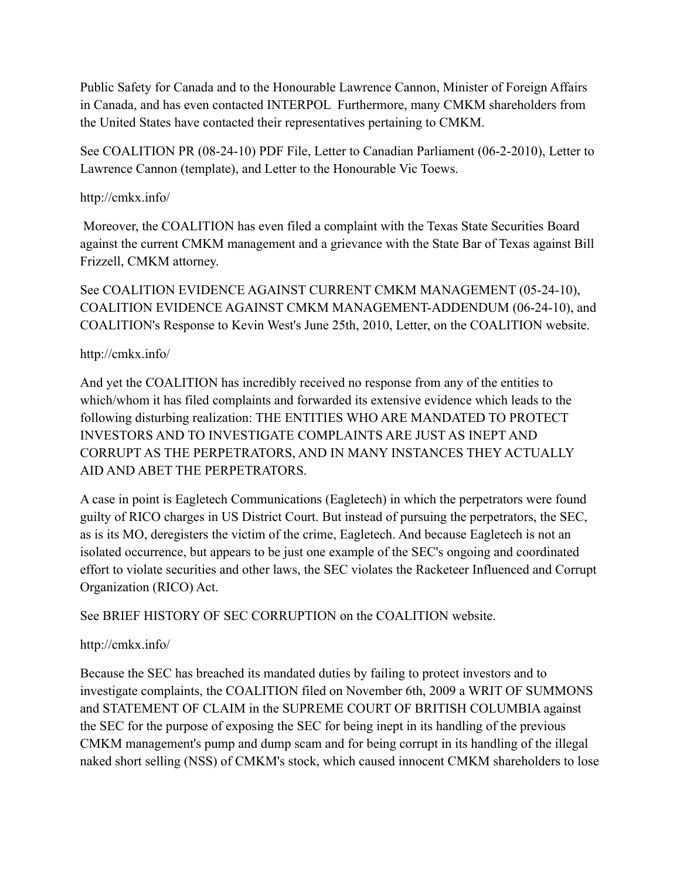Public Safety for Canada and to the Honourable Lawrence Cannon, Minister of Foreign Affairs in Canada, and has even contacted INTERPOL Furthermore, many CMKM shareholders from the United States have contacted their representatives pertaining to CMKM.

See COALITION PR (08-24-10) PDF File, Letter to Canadian Parliament (06-2-2010), Letter to Lawrence Cannon (template), and Letter to the Honourable Vic Toews.

#### http://cmkx.info/

 Moreover, the COALITION has even filed a complaint with the Texas State Securities Board against the current CMKM management and a grievance with the State Bar of Texas against Bill Frizzell, CMKM attorney.

See COALITION EVIDENCE AGAINST CURRENT CMKM MANAGEMENT (05-24-10), COALITION EVIDENCE AGAINST CMKM MANAGEMENT-ADDENDUM (06-24-10), and COALITION's Response to Kevin West's June 25th, 2010, Letter, on the COALITION website.

## http://cmkx.info/

And yet the COALITION has incredibly received no response from any of the entities to which/whom it has filed complaints and forwarded its extensive evidence which leads to the following disturbing realization: THE ENTITIES WHO ARE MANDATED TO PROTECT INVESTORS AND TO INVESTIGATE COMPLAINTS ARE JUST AS INEPT AND CORRUPT AS THE PERPETRATORS, AND IN MANY INSTANCES THEY ACTUALLY AID AND ABET THE PERPETRATORS.

A case in point is Eagletech Communications (Eagletech) in which the perpetrators were found guilty of RICO charges in US District Court. But instead of pursuing the perpetrators, the SEC, as is its MO, deregisters the victim of the crime, Eagletech. And because Eagletech is not an isolated occurrence, but appears to be just one example of the SEC's ongoing and coordinated effort to violate securities and other laws, the SEC violates the Racketeer Influenced and Corrupt Organization (RICO) Act.

See BRIEF HISTORY OF SEC CORRUPTION on the COALITION website.

#### http://cmkx.info/

Because the SEC has breached its mandated duties by failing to protect investors and to investigate complaints, the COALITION filed on November 6th, 2009 a WRIT OF SUMMONS and STATEMENT OF CLAIM in the SUPREME COURT OF BRITISH COLUMBIA against the SEC for the purpose of exposing the SEC for being inept in its handling of the previous CMKM management's pump and dump scam and for being corrupt in its handling of the illegal naked short selling (NSS) of CMKM's stock, which caused innocent CMKM shareholders to lose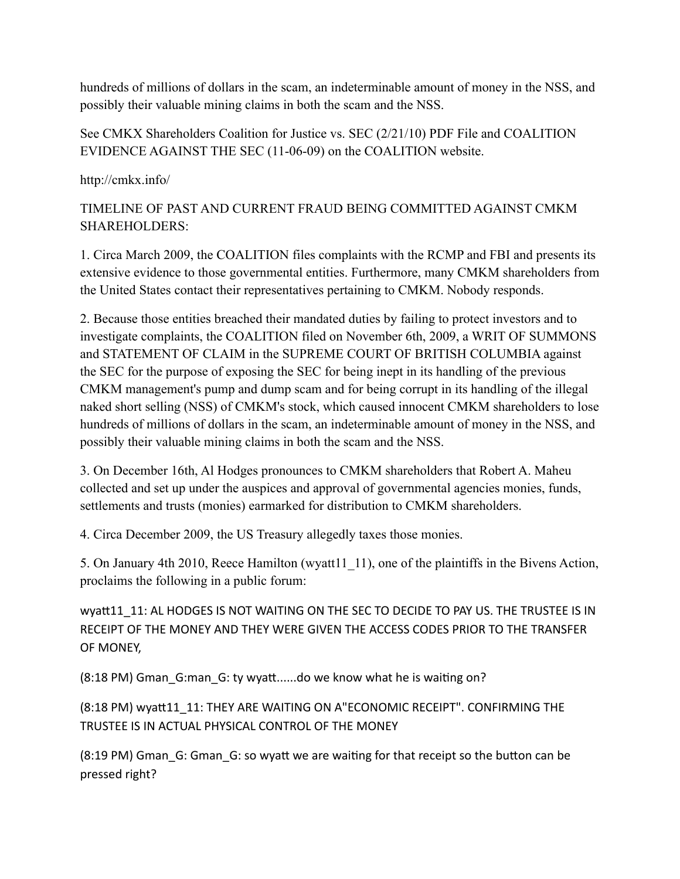hundreds of millions of dollars in the scam, an indeterminable amount of money in the NSS, and possibly their valuable mining claims in both the scam and the NSS.

See CMKX Shareholders Coalition for Justice vs. SEC (2/21/10) PDF File and COALITION EVIDENCE AGAINST THE SEC (11-06-09) on the COALITION website.

http://cmkx.info/

# TIMELINE OF PAST AND CURRENT FRAUD BEING COMMITTED AGAINST CMKM SHAREHOLDERS:

1. Circa March 2009, the COALITION files complaints with the RCMP and FBI and presents its extensive evidence to those governmental entities. Furthermore, many CMKM shareholders from the United States contact their representatives pertaining to CMKM. Nobody responds.

2. Because those entities breached their mandated duties by failing to protect investors and to investigate complaints, the COALITION filed on November 6th, 2009, a WRIT OF SUMMONS and STATEMENT OF CLAIM in the SUPREME COURT OF BRITISH COLUMBIA against the SEC for the purpose of exposing the SEC for being inept in its handling of the previous CMKM management's pump and dump scam and for being corrupt in its handling of the illegal naked short selling (NSS) of CMKM's stock, which caused innocent CMKM shareholders to lose hundreds of millions of dollars in the scam, an indeterminable amount of money in the NSS, and possibly their valuable mining claims in both the scam and the NSS.

3. On December 16th, Al Hodges pronounces to CMKM shareholders that Robert A. Maheu collected and set up under the auspices and approval of governmental agencies monies, funds, settlements and trusts (monies) earmarked for distribution to CMKM shareholders.

4. Circa December 2009, the US Treasury allegedly taxes those monies.

5. On January 4th 2010, Reece Hamilton (wyatt11\_11), one of the plaintiffs in the Bivens Action, proclaims the following in a public forum:

wyatt11\_11: AL HODGES IS NOT WAITING ON THE SEC TO DECIDE TO PAY US. THE TRUSTEE IS IN RECEIPT OF THE MONEY AND THEY WERE GIVEN THE ACCESS CODES PRIOR TO THE TRANSFER OF MONEY.

(8:18 PM) Gman G:man G: ty wyatt......do we know what he is waiting on?

(8:18 PM) wyatt11\_11: THEY ARE WAITING ON A"ECONOMIC RECEIPT". CONFIRMING THE TRUSTEE IS IN ACTUAL PHYSICAL CONTROL OF THE MONEY

 $(8:19 \text{ PM})$  Gman G: Gman G: so wyatt we are waiting for that receipt so the button can be pressed right?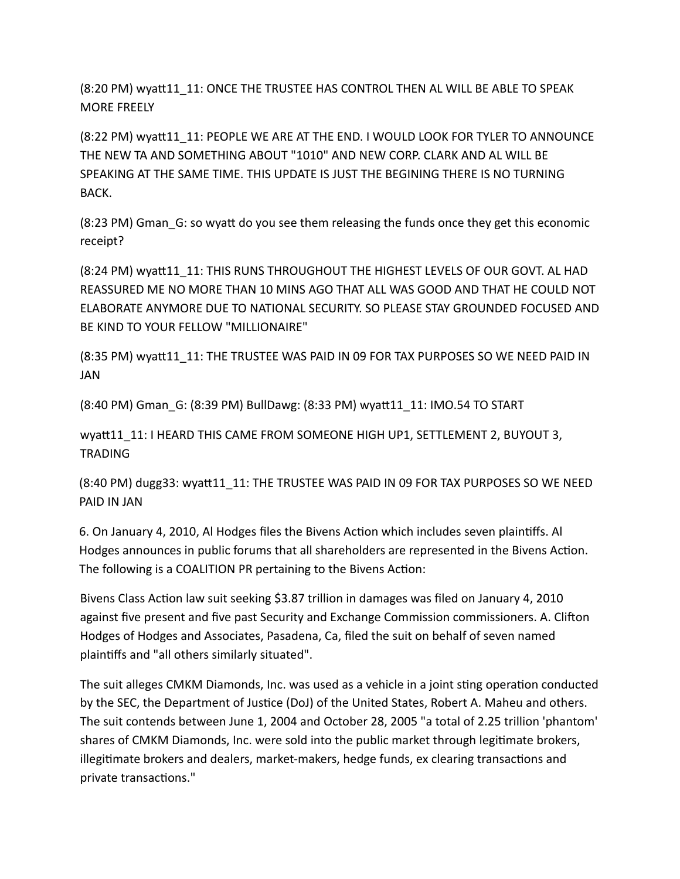(8:20 PM) wyatt11\_11: ONCE THE TRUSTEE HAS CONTROL THEN AL WILL BE ABLE TO SPEAK MORE FREELY

(8:22 PM) wyatt11\_11: PEOPLE WE ARE AT THE END. I WOULD LOOK FOR TYLER TO ANNOUNCE THE NEW TA AND SOMETHING ABOUT "1010" AND NEW CORP. CLARK AND AL WILL BE SPEAKING AT THE SAME TIME. THIS UPDATE IS JUST THE BEGINING THERE IS NO TURNING BACK.

(8:23 PM) Gman\_G: so wyatt do you see them releasing the funds once they get this economic receipt?

(8:24 PM) wyatt11 11: THIS RUNS THROUGHOUT THE HIGHEST LEVELS OF OUR GOVT. AL HAD REASSURED ME NO MORE THAN 10 MINS AGO THAT ALL WAS GOOD AND THAT HE COULD NOT ELABORATE ANYMORE DUE TO NATIONAL SECURITY. SO PLEASE STAY GROUNDED FOCUSED AND BE KIND TO YOUR FELLOW "MILLIONAIRE"

(8:35 PM) wyatt11 11: THE TRUSTEE WAS PAID IN 09 FOR TAX PURPOSES SO WE NEED PAID IN JAN

(8:40 PM) Gman\_G: (8:39 PM) BullDawg: (8:33 PM) wyatt11\_11: IMO.54 TO START

wyatt11\_11: I HEARD THIS CAME FROM SOMEONE HIGH UP1, SETTLEMENT 2, BUYOUT 3, **TRADING** 

(8:40 PM) dugg33: wyatt11\_11: THE TRUSTEE WAS PAID IN 09 FOR TAX PURPOSES SO WE NEED PAID IN JAN

6. On January 4, 2010, Al Hodges files the Bivens Action which includes seven plaintiffs. Al Hodges announces in public forums that all shareholders are represented in the Bivens Action. The following is a COALITION PR pertaining to the Bivens Action:

Bivens Class Action law suit seeking \$3.87 trillion in damages was filed on January 4, 2010 against five present and five past Security and Exchange Commission commissioners. A. Clifton Hodges of Hodges and Associates, Pasadena, Ca, filed the suit on behalf of seven named plaintiffs and "all others similarly situated".

The suit alleges CMKM Diamonds, Inc. was used as a vehicle in a joint sting operation conducted by the SEC, the Department of Justice (DoJ) of the United States, Robert A. Maheu and others. The suit contends between June 1, 2004 and October 28, 2005 "a total of 2.25 trillion 'phantom' shares of CMKM Diamonds, Inc. were sold into the public market through legitimate brokers, illegitimate brokers and dealers, market-makers, hedge funds, ex clearing transactions and private transactions."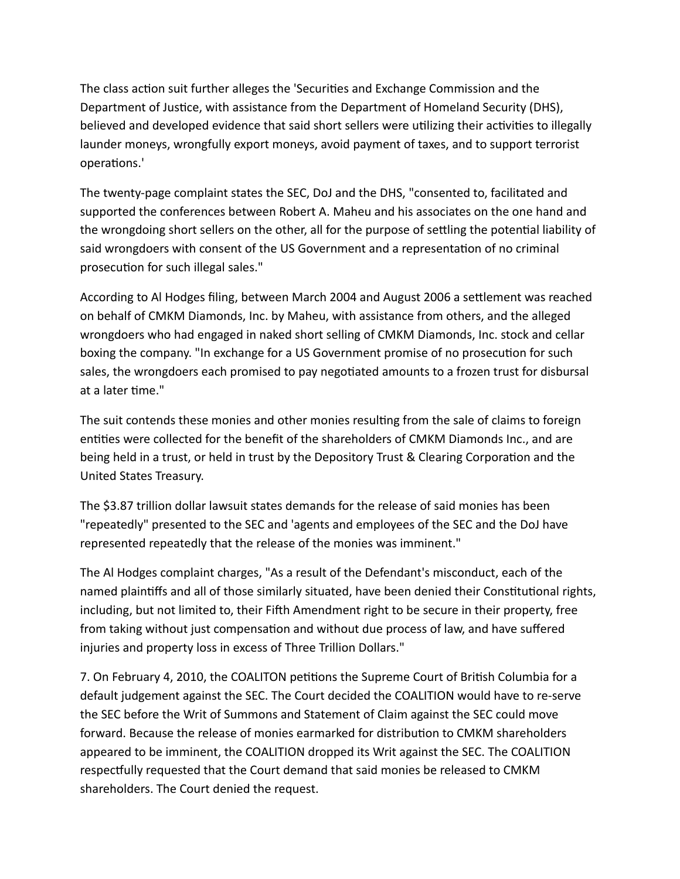The class action suit further alleges the 'Securities and Exchange Commission and the Department of Justice, with assistance from the Department of Homeland Security (DHS), believed and developed evidence that said short sellers were utilizing their activities to illegally launder moneys, wrongfully export moneys, avoid payment of taxes, and to support terrorist operations.'

The twenty-page complaint states the SEC, DoJ and the DHS, "consented to, facilitated and supported the conferences between Robert A. Maheu and his associates on the one hand and the wrongdoing short sellers on the other, all for the purpose of settling the potential liability of said wrongdoers with consent of the US Government and a representation of no criminal prosecution for such illegal sales."

According to Al Hodges filing, between March 2004 and August 2006 a settlement was reached on behalf of CMKM Diamonds, Inc. by Maheu, with assistance from others, and the alleged wrongdoers who had engaged in naked short selling of CMKM Diamonds, Inc. stock and cellar boxing the company. "In exchange for a US Government promise of no prosecution for such sales, the wrongdoers each promised to pay negotiated amounts to a frozen trust for disbursal at a later time."

The suit contends these monies and other monies resulting from the sale of claims to foreign entities were collected for the benefit of the shareholders of CMKM Diamonds Inc., and are being held in a trust, or held in trust by the Depository Trust & Clearing Corporation and the United States Treasury.

The \$3.87 trillion dollar lawsuit states demands for the release of said monies has been "repeatedly" presented to the SEC and 'agents and employees of the SEC and the DoJ have represented repeatedly that the release of the monies was imminent."

The Al Hodges complaint charges, "As a result of the Defendant's misconduct, each of the named plaintiffs and all of those similarly situated, have been denied their Constitutional rights, including, but not limited to, their Fifth Amendment right to be secure in their property, free from taking without just compensation and without due process of law, and have suffered injuries and property loss in excess of Three Trillion Dollars."

7. On February 4, 2010, the COALITON petitions the Supreme Court of British Columbia for a default judgement against the SEC. The Court decided the COALITION would have to re-serve the SEC before the Writ of Summons and Statement of Claim against the SEC could move forward. Because the release of monies earmarked for distribution to CMKM shareholders appeared to be imminent, the COALITION dropped its Writ against the SEC. The COALITION respectfully requested that the Court demand that said monies be released to CMKM shareholders. The Court denied the request.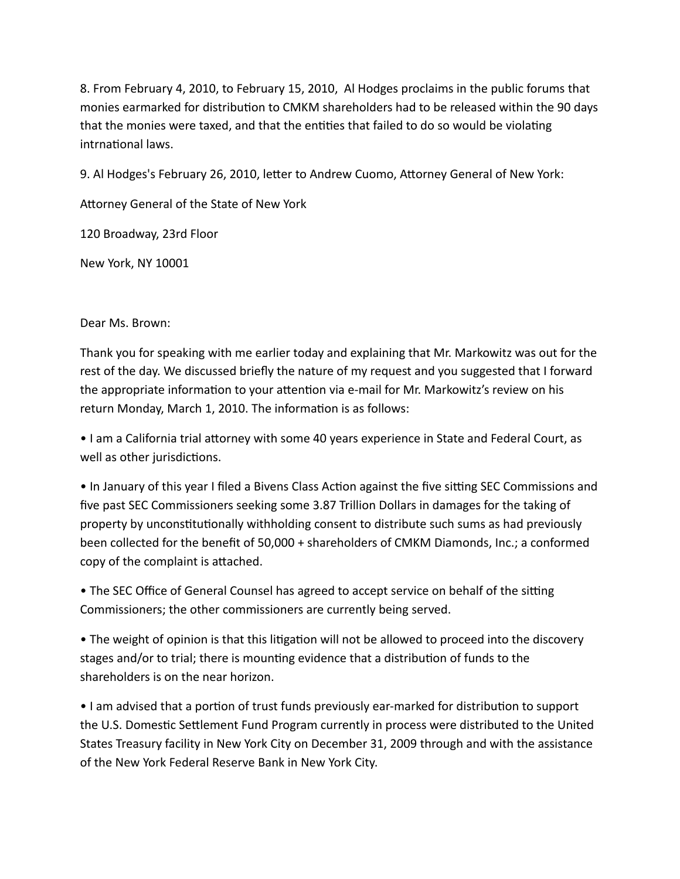8. From February 4, 2010, to February 15, 2010, Al Hodges proclaims in the public forums that monies earmarked for distribution to CMKM shareholders had to be released within the 90 days that the monies were taxed, and that the entities that failed to do so would be violating intrnational laws.

9. Al Hodges's February 26, 2010, letter to Andrew Cuomo, Attorney General of New York:

Attorney General of the State of New York

120 Broadway, 23rd Floor

New York, NY 10001

Dear Ms. Brown:

Thank you for speaking with me earlier today and explaining that Mr. Markowitz was out for the rest of the day. We discussed briefly the nature of my request and you suggested that I forward the appropriate information to your attention via e-mail for Mr. Markowitz's review on his return Monday, March 1, 2010. The information is as follows:

• I am a California trial attorney with some 40 years experience in State and Federal Court, as well as other jurisdictions.

• In January of this year I filed a Bivens Class Action against the five sitting SEC Commissions and five past SEC Commissioners seeking some 3.87 Trillion Dollars in damages for the taking of property by unconstitutionally withholding consent to distribute such sums as had previously been collected for the benefit of 50,000 + shareholders of CMKM Diamonds, Inc.; a conformed copy of the complaint is attached.

• The SEC Office of General Counsel has agreed to accept service on behalf of the sitting Commissioners; the other commissioners are currently being served.

• The weight of opinion is that this litigation will not be allowed to proceed into the discovery stages and/or to trial; there is mounting evidence that a distribution of funds to the shareholders is on the near horizon.

• I am advised that a portion of trust funds previously ear-marked for distribution to support the U.S. Domestic Settlement Fund Program currently in process were distributed to the United States Treasury facility in New York City on December 31, 2009 through and with the assistance of the New York Federal Reserve Bank in New York City.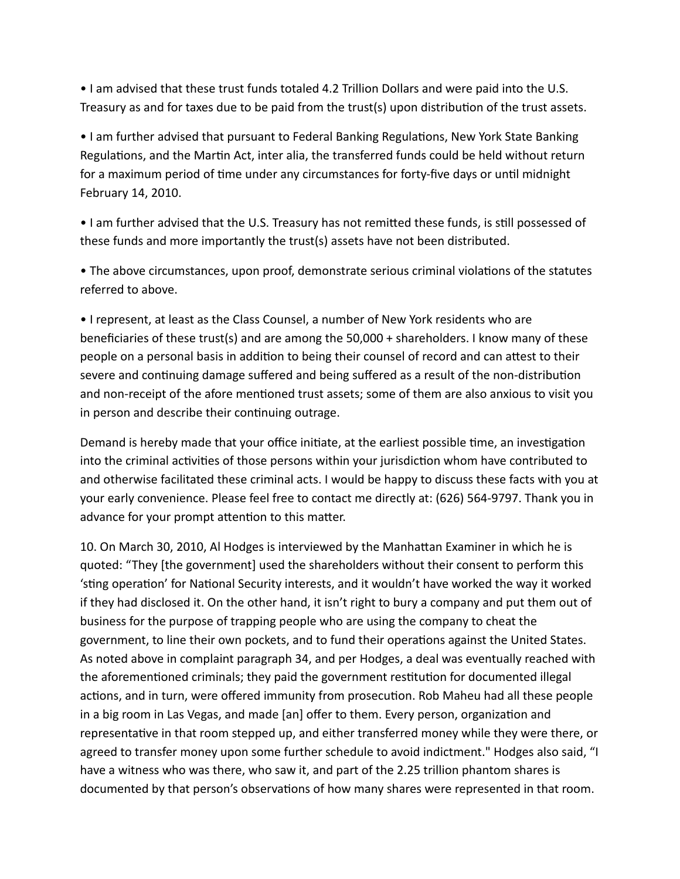• I am advised that these trust funds totaled 4.2 Trillion Dollars and were paid into the U.S. Treasury as and for taxes due to be paid from the trust(s) upon distribution of the trust assets.

• I am further advised that pursuant to Federal Banking Regulations, New York State Banking Regulations, and the Martin Act, inter alia, the transferred funds could be held without return for a maximum period of time under any circumstances for forty-five days or until midnight February 14, 2010.

• I am further advised that the U.S. Treasury has not remitted these funds, is still possessed of these funds and more importantly the trust(s) assets have not been distributed.

• The above circumstances, upon proof, demonstrate serious criminal violations of the statutes referred to above.

• I represent, at least as the Class Counsel, a number of New York residents who are beneficiaries of these trust(s) and are among the  $50,000 +$  shareholders. I know many of these people on a personal basis in addition to being their counsel of record and can attest to their severe and continuing damage suffered and being suffered as a result of the non-distribution and non-receipt of the afore mentioned trust assets; some of them are also anxious to visit you in person and describe their continuing outrage.

Demand is hereby made that your office initiate, at the earliest possible time, an investigation into the criminal activities of those persons within your jurisdiction whom have contributed to and otherwise facilitated these criminal acts. I would be happy to discuss these facts with you at your early convenience. Please feel free to contact me directly at: (626) 564-9797. Thank you in advance for your prompt attention to this matter.

10. On March 30, 2010, Al Hodges is interviewed by the Manhattan Examiner in which he is quoted: "They [the government] used the shareholders without their consent to perform this 'sting operation' for National Security interests, and it wouldn't have worked the way it worked if they had disclosed it. On the other hand, it isn't right to bury a company and put them out of business for the purpose of trapping people who are using the company to cheat the government, to line their own pockets, and to fund their operations against the United States. As noted above in complaint paragraph 34, and per Hodges, a deal was eventually reached with the aforementioned criminals; they paid the government restitution for documented illegal actions, and in turn, were offered immunity from prosecution. Rob Maheu had all these people in a big room in Las Vegas, and made [an] offer to them. Every person, organization and representative in that room stepped up, and either transferred money while they were there, or agreed to transfer money upon some further schedule to avoid indictment." Hodges also said, "I have a witness who was there, who saw it, and part of the 2.25 trillion phantom shares is documented by that person's observations of how many shares were represented in that room.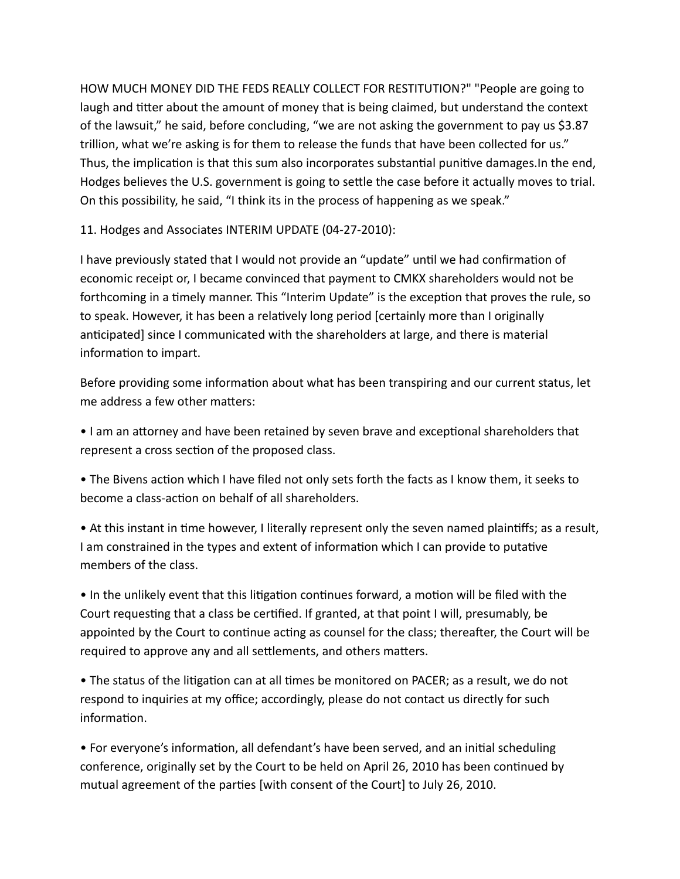HOW MUCH MONEY DID THE FEDS REALLY COLLECT FOR RESTITUTION?" "People are going to laugh and titter about the amount of money that is being claimed, but understand the context of the lawsuit," he said, before concluding, "we are not asking the government to pay us \$3.87 trillion, what we're asking is for them to release the funds that have been collected for us." Thus, the implication is that this sum also incorporates substantial punitive damages. In the end, Hodges believes the U.S. government is going to settle the case before it actually moves to trial. On this possibility, he said, "I think its in the process of happening as we speak."

11. Hodges and Associates INTERIM UPDATE (04-27-2010):

I have previously stated that I would not provide an "update" until we had confirmation of economic receipt or, I became convinced that payment to CMKX shareholders would not be forthcoming in a timely manner. This "Interim Update" is the exception that proves the rule, so to speak. However, it has been a relatively long period [certainly more than I originally anticipated] since I communicated with the shareholders at large, and there is material information to impart.

Before providing some information about what has been transpiring and our current status, let me address a few other matters:

• I am an attorney and have been retained by seven brave and exceptional shareholders that represent a cross section of the proposed class.

• The Bivens action which I have filed not only sets forth the facts as I know them, it seeks to become a class-action on behalf of all shareholders.

• At this instant in time however, I literally represent only the seven named plaintiffs; as a result, I am constrained in the types and extent of information which I can provide to putative members of the class.

• In the unlikely event that this litigation continues forward, a motion will be filed with the Court requesting that a class be certified. If granted, at that point I will, presumably, be appointed by the Court to continue acting as counsel for the class; the reafter, the Court will be required to approve any and all settlements, and others matters.

• The status of the litigation can at all times be monitored on PACER; as a result, we do not respond to inquiries at my office; accordingly, please do not contact us directly for such information.

• For everyone's information, all defendant's have been served, and an initial scheduling conference, originally set by the Court to be held on April 26, 2010 has been continued by mutual agreement of the parties [with consent of the Court] to July 26, 2010.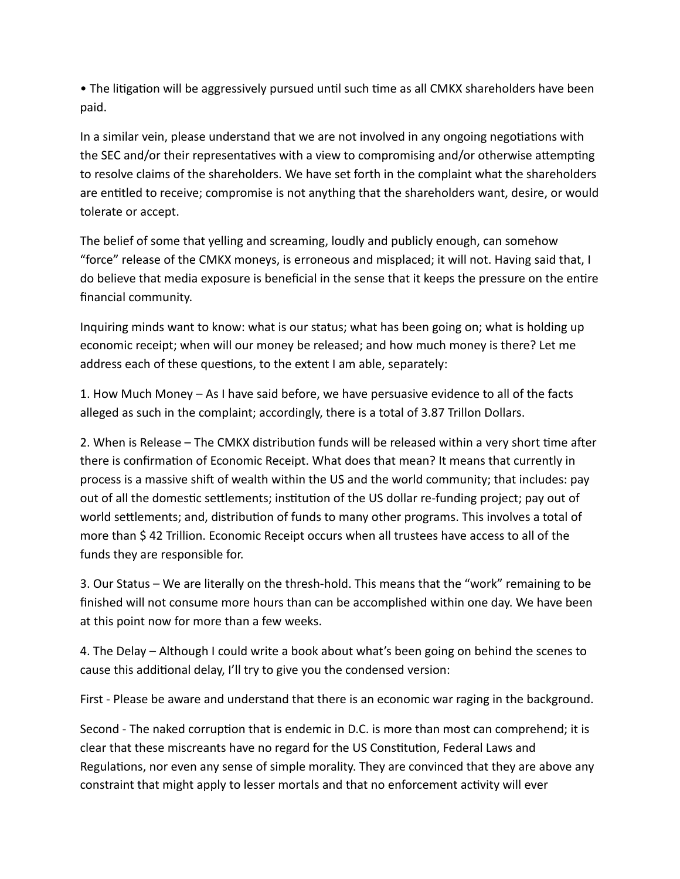• The litigation will be aggressively pursued until such time as all CMKX shareholders have been paid.

In a similar vein, please understand that we are not involved in any ongoing negotiations with the SEC and/or their representatives with a view to compromising and/or otherwise attempting to resolve claims of the shareholders. We have set forth in the complaint what the shareholders are entitled to receive; compromise is not anything that the shareholders want, desire, or would tolerate or accept.

The belief of some that yelling and screaming, loudly and publicly enough, can somehow "force" release of the CMKX moneys, is erroneous and misplaced; it will not. Having said that, I do believe that media exposure is beneficial in the sense that it keeps the pressure on the entire financial community.

Inquiring minds want to know: what is our status; what has been going on; what is holding up economic receipt; when will our money be released; and how much money is there? Let me address each of these questions, to the extent I am able, separately:

1. How Much Money – As I have said before, we have persuasive evidence to all of the facts alleged as such in the complaint; accordingly, there is a total of 3.87 Trillon Dollars.

2. When is Release – The CMKX distribution funds will be released within a very short time after there is confirmation of Economic Receipt. What does that mean? It means that currently in process is a massive shift of wealth within the US and the world community; that includes: pay out of all the domestic settlements; institution of the US dollar re-funding project; pay out of world settlements; and, distribution of funds to many other programs. This involves a total of more than \$42 Trillion. Economic Receipt occurs when all trustees have access to all of the funds they are responsible for.

3. Our Status – We are literally on the thresh-hold. This means that the "work" remaining to be finished will not consume more hours than can be accomplished within one day. We have been at this point now for more than a few weeks.

4. The Delay – Although I could write a book about what's been going on behind the scenes to cause this additional delay, I'll try to give you the condensed version:

First - Please be aware and understand that there is an economic war raging in the background.

Second - The naked corruption that is endemic in D.C. is more than most can comprehend; it is clear that these miscreants have no regard for the US Constitution, Federal Laws and Regulations, nor even any sense of simple morality. They are convinced that they are above any constraint that might apply to lesser mortals and that no enforcement activity will ever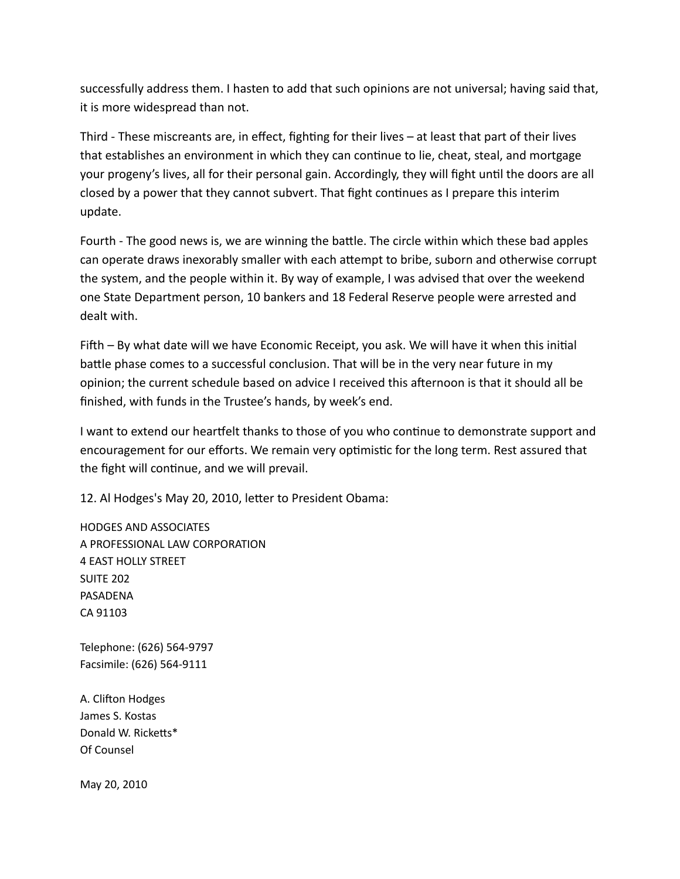successfully address them. I hasten to add that such opinions are not universal; having said that, it is more widespread than not.

Third - These miscreants are, in effect, fighting for their lives – at least that part of their lives that establishes an environment in which they can continue to lie, cheat, steal, and mortgage your progeny's lives, all for their personal gain. Accordingly, they will fight until the doors are all closed by a power that they cannot subvert. That fight continues as I prepare this interim update.

Fourth - The good news is, we are winning the battle. The circle within which these bad apples can operate draws inexorably smaller with each attempt to bribe, suborn and otherwise corrupt the system, and the people within it. By way of example, I was advised that over the weekend one State Department person, 10 bankers and 18 Federal Reserve people were arrested and dealt with.

Fifth – By what date will we have Economic Receipt, you ask. We will have it when this initial battle phase comes to a successful conclusion. That will be in the very near future in my opinion; the current schedule based on advice I received this afternoon is that it should all be finished, with funds in the Trustee's hands, by week's end.

I want to extend our heartfelt thanks to those of you who continue to demonstrate support and encouragement for our efforts. We remain very optimistic for the long term. Rest assured that the fight will continue, and we will prevail.

12. Al Hodges's May 20, 2010, letter to President Obama:

HODGES AND ASSOCIATES A PROFESSIONAL LAW CORPORATION 4 EAST HOLLY STREET **SUITE 202** PASADENA CA 91103

Telephone: (626) 564-9797 Facsimile: (626) 564-9111

A. Clifton Hodges James S. Kostas Donald W. Ricketts\* Of Counsel

May 20, 2010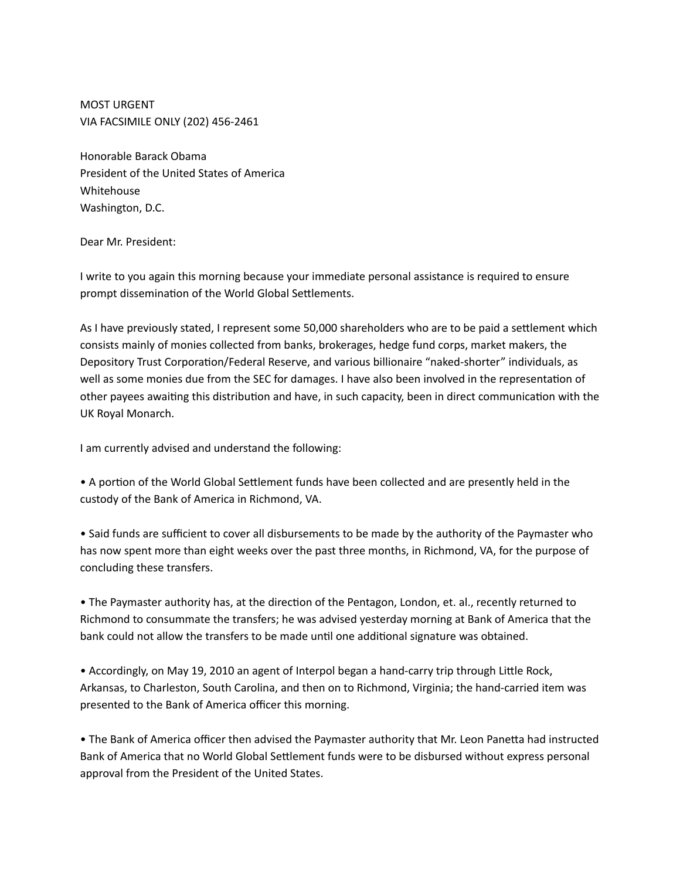MOST URGENT VIA FACSIMILE ONLY (202) 456-2461

Honorable Barack Obama President of the United States of America Whitehouse Washington, D.C.

Dear Mr. President:

I write to you again this morning because your immediate personal assistance is required to ensure prompt dissemination of the World Global Settlements.

As I have previously stated, I represent some 50,000 shareholders who are to be paid a settlement which consists mainly of monies collected from banks, brokerages, hedge fund corps, market makers, the Depository Trust Corporation/Federal Reserve, and various billionaire "naked-shorter" individuals, as well as some monies due from the SEC for damages. I have also been involved in the representation of other payees awaiting this distribution and have, in such capacity, been in direct communication with the UK Royal Monarch.

I am currently advised and understand the following:

• A portion of the World Global Settlement funds have been collected and are presently held in the custody of the Bank of America in Richmond, VA.

• Said funds are sufficient to cover all disbursements to be made by the authority of the Paymaster who has now spent more than eight weeks over the past three months, in Richmond, VA, for the purpose of concluding these transfers.

• The Paymaster authority has, at the direction of the Pentagon, London, et. al., recently returned to Richmond to consummate the transfers; he was advised yesterday morning at Bank of America that the bank could not allow the transfers to be made until one additional signature was obtained.

• Accordingly, on May 19, 2010 an agent of Interpol began a hand-carry trip through Little Rock, Arkansas, to Charleston, South Carolina, and then on to Richmond, Virginia; the hand-carried item was presented to the Bank of America officer this morning.

• The Bank of America officer then advised the Paymaster authority that Mr. Leon Panetta had instructed Bank of America that no World Global Settlement funds were to be disbursed without express personal approval from the President of the United States.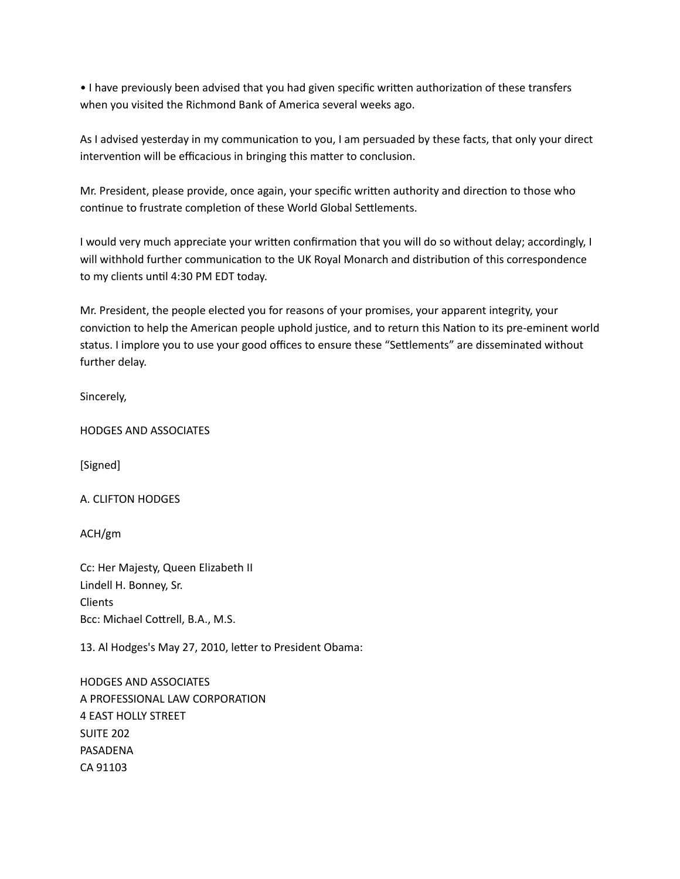• I have previously been advised that you had given specific written authorization of these transfers when you visited the Richmond Bank of America several weeks ago.

As I advised yesterday in my communication to you, I am persuaded by these facts, that only your direct intervention will be efficacious in bringing this matter to conclusion.

Mr. President, please provide, once again, your specific written authority and direction to those who continue to frustrate completion of these World Global Settlements.

I would very much appreciate your written confirmation that you will do so without delay; accordingly, I will withhold further communication to the UK Royal Monarch and distribution of this correspondence to my clients until 4:30 PM EDT today.

Mr. President, the people elected you for reasons of your promises, your apparent integrity, your conviction to help the American people uphold justice, and to return this Nation to its pre-eminent world status. I implore you to use your good offices to ensure these "Settlements" are disseminated without further delay.

Sincerely,

HODGES AND ASSOCIATES

[Signed]

A. CLIFTON HODGES

ACH/gm

Cc: Her Majesty, Queen Elizabeth II Lindell H. Bonney, Sr. Clients Bcc: Michael Cottrell, B.A., M.S.

13. Al Hodges's May 27, 2010, letter to President Obama:

HODGES AND ASSOCIATES A PROFESSIONAL LAW CORPORATION 4 EAST HOLLY STREET **SUITE 202** PASADENA CA 91103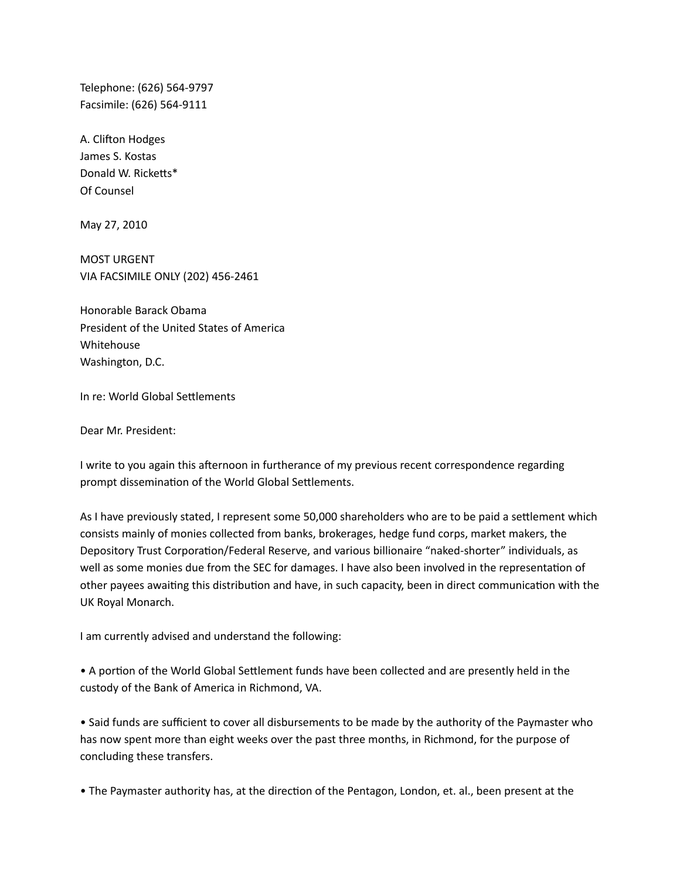Telephone: (626) 564-9797 Facsimile: (626) 564-9111

A. Clifton Hodges James S. Kostas Donald W. Ricketts\* Of Counsel

May 27, 2010

MOST URGENT VIA FACSIMILE ONLY (202) 456-2461

Honorable Barack Obama President of the United States of America Whitehouse Washington, D.C.

In re: World Global Settlements

Dear Mr. President:

I write to you again this afternoon in furtherance of my previous recent correspondence regarding prompt dissemination of the World Global Settlements.

As I have previously stated, I represent some 50,000 shareholders who are to be paid a settlement which consists mainly of monies collected from banks, brokerages, hedge fund corps, market makers, the Depository Trust Corporation/Federal Reserve, and various billionaire "naked-shorter" individuals, as well as some monies due from the SEC for damages. I have also been involved in the representation of other payees awaiting this distribution and have, in such capacity, been in direct communication with the UK Royal Monarch.

I am currently advised and understand the following:

• A portion of the World Global Settlement funds have been collected and are presently held in the custody of the Bank of America in Richmond, VA.

• Said funds are sufficient to cover all disbursements to be made by the authority of the Paymaster who has now spent more than eight weeks over the past three months, in Richmond, for the purpose of concluding these transfers.

• The Paymaster authority has, at the direction of the Pentagon, London, et. al., been present at the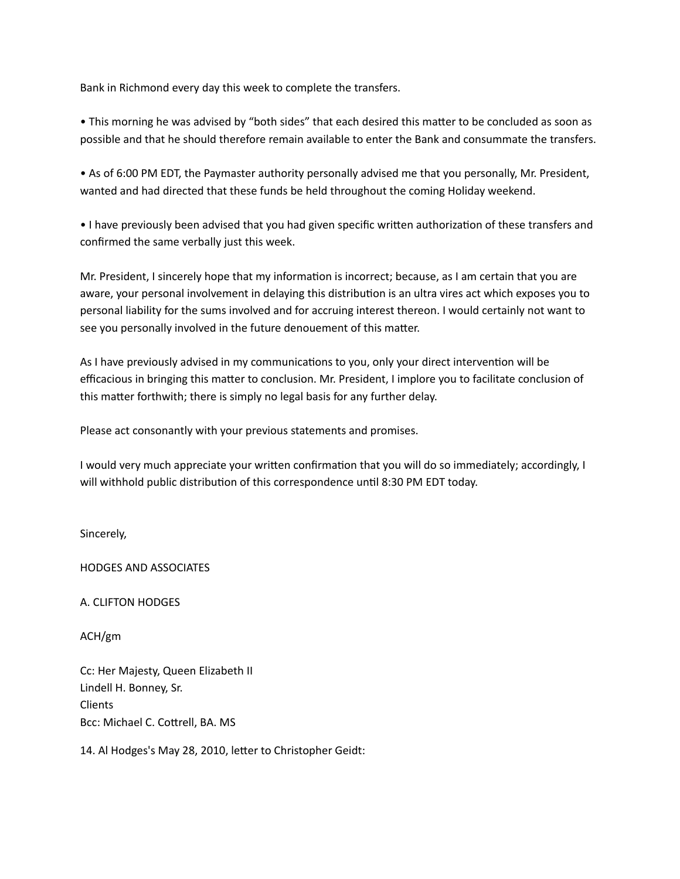Bank in Richmond every day this week to complete the transfers.

• This morning he was advised by "both sides" that each desired this matter to be concluded as soon as possible and that he should therefore remain available to enter the Bank and consummate the transfers.

• As of 6:00 PM EDT, the Paymaster authority personally advised me that you personally, Mr. President, wanted and had directed that these funds be held throughout the coming Holiday weekend.

• I have previously been advised that you had given specific written authorization of these transfers and confirmed the same verbally just this week.

Mr. President, I sincerely hope that my information is incorrect; because, as I am certain that you are aware, your personal involvement in delaying this distribution is an ultra vires act which exposes you to personal liability for the sums involved and for accruing interest thereon. I would certainly not want to see you personally involved in the future denouement of this matter.

As I have previously advised in my communications to you, only your direct intervention will be efficacious in bringing this matter to conclusion. Mr. President, I implore you to facilitate conclusion of this matter forthwith; there is simply no legal basis for any further delay.

Please act consonantly with your previous statements and promises.

I would very much appreciate your written confirmation that you will do so immediately; accordingly, I will withhold public distribution of this correspondence until 8:30 PM EDT today.

Sincerely,

HODGES AND ASSOCIATES

A. CLIFTON HODGES

ACH/gm

Cc: Her Majesty, Queen Elizabeth II Lindell H. Bonney, Sr. Clients Bcc: Michael C. Cottrell, BA. MS

14. Al Hodges's May 28, 2010, letter to Christopher Geidt: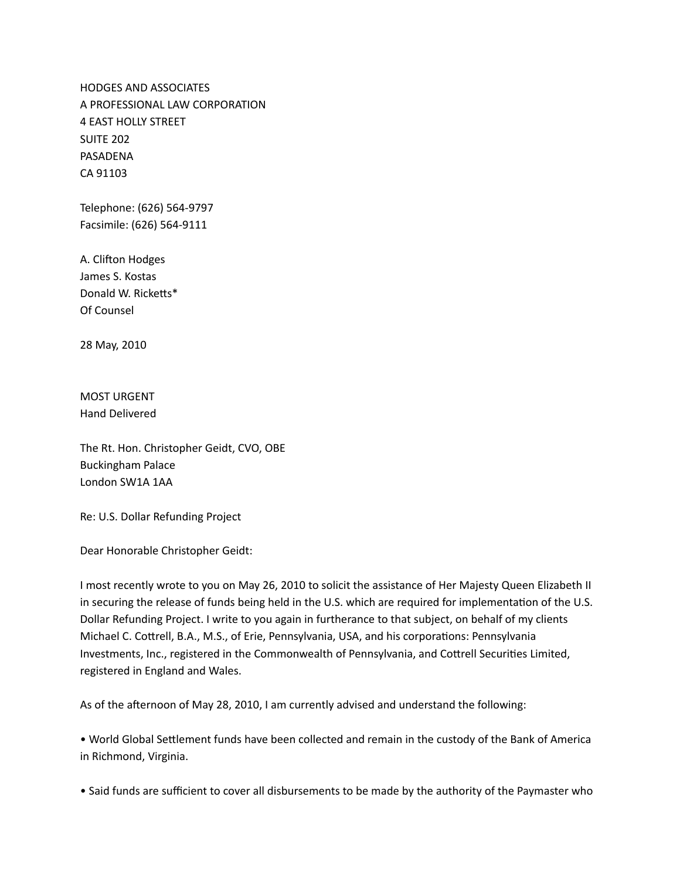HODGES AND ASSOCIATES A PROFESSIONAL LAW CORPORATION 4 EAST HOLLY STREET **SUITE 202** PASADENA CA 91103

Telephone: (626) 564-9797 Facsimile: (626) 564-9111

A. Clifton Hodges James S. Kostas Donald W. Ricketts\* Of Counsel

28 May, 2010

**MOST URGENT** Hand#Delivered

The Rt. Hon. Christopher Geidt, CVO, OBE Buckingham#Palace London SW1A 1AA

Re: U.S. Dollar Refunding Project

Dear Honorable Christopher Geidt:

I most recently wrote to you on May 26, 2010 to solicit the assistance of Her Majesty Queen Elizabeth II in securing the release of funds being held in the U.S. which are required for implementation of the U.S. Dollar Refunding Project. I write to you again in furtherance to that subject, on behalf of my clients Michael C. Cottrell, B.A., M.S., of Erie, Pennsylvania, USA, and his corporations: Pennsylvania Investments, Inc., registered in the Commonwealth of Pennsylvania, and Cottrell Securities Limited, registered in England and Wales.

As of the afternoon of May 28, 2010, I am currently advised and understand the following:

• World Global Settlement funds have been collected and remain in the custody of the Bank of America in Richmond, Virginia.

• Said funds are sufficient to cover all disbursements to be made by the authority of the Paymaster who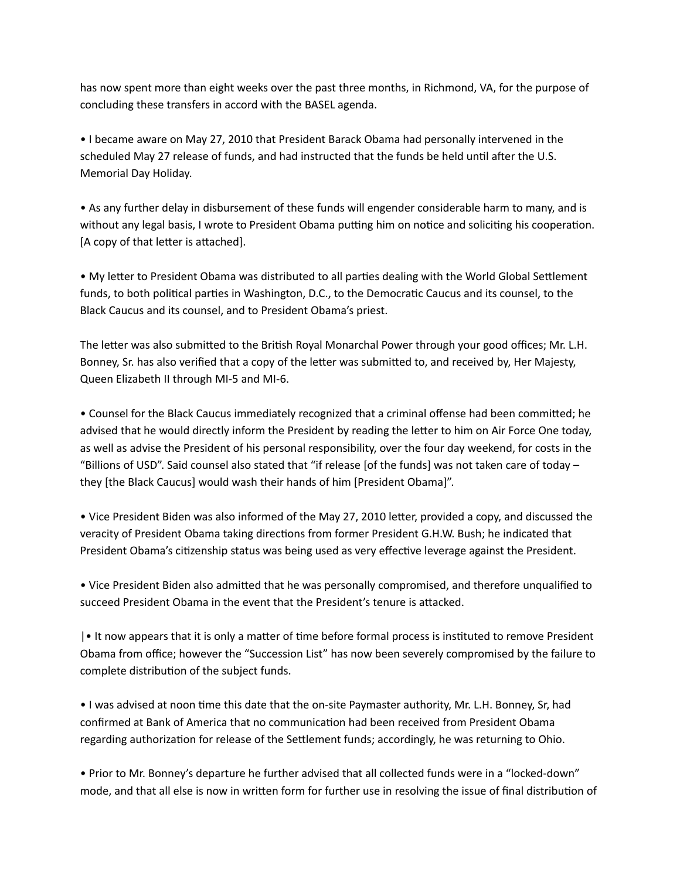has now spent more than eight weeks over the past three months, in Richmond, VA, for the purpose of concluding these transfers in accord with the BASEL agenda.

• I became aware on May 27, 2010 that President Barack Obama had personally intervened in the scheduled May 27 release of funds, and had instructed that the funds be held until after the U.S. Memorial Day Holiday.

• As any further delay in disbursement of these funds will engender considerable harm to many, and is without any legal basis, I wrote to President Obama putting him on notice and soliciting his cooperation. [A copy of that letter is attached].

• My letter to President Obama was distributed to all parties dealing with the World Global Settlement funds, to both political parties in Washington, D.C., to the Democratic Caucus and its counsel, to the Black Caucus and its counsel, and to President Obama's priest.

The letter was also submitted to the British Royal Monarchal Power through your good offices; Mr. L.H. Bonney, Sr. has also verified that a copy of the letter was submitted to, and received by, Her Majesty, Queen Elizabeth II through MI-5 and MI-6.

• Counsel for the Black Caucus immediately recognized that a criminal offense had been committed; he advised that he would directly inform the President by reading the letter to him on Air Force One today, as well as advise the President of his personal responsibility, over the four day weekend, for costs in the "Billions of USD". Said counsel also stated that "if release [of the funds] was not taken care of today – they [the Black Caucus] would wash their hands of him [President Obama]".

• Vice President Biden was also informed of the May 27, 2010 letter, provided a copy, and discussed the veracity of President Obama taking directions from former President G.H.W. Bush; he indicated that President Obama's citizenship status was being used as very effective leverage against the President.

• Vice President Biden also admitted that he was personally compromised, and therefore unqualified to succeed President Obama in the event that the President's tenure is attacked.

 $\cdot$  It now appears that it is only a matter of time before formal process is instituted to remove President Obama from office; however the "Succession List" has now been severely compromised by the failure to complete distribution of the subject funds.

• I was advised at noon time this date that the on-site Paymaster authority, Mr. L.H. Bonney, Sr, had confirmed at Bank of America that no communication had been received from President Obama regarding authorization for release of the Settlement funds; accordingly, he was returning to Ohio.

• Prior to Mr. Bonney's departure he further advised that all collected funds were in a "locked-down" mode, and that all else is now in written form for further use in resolving the issue of final distribution of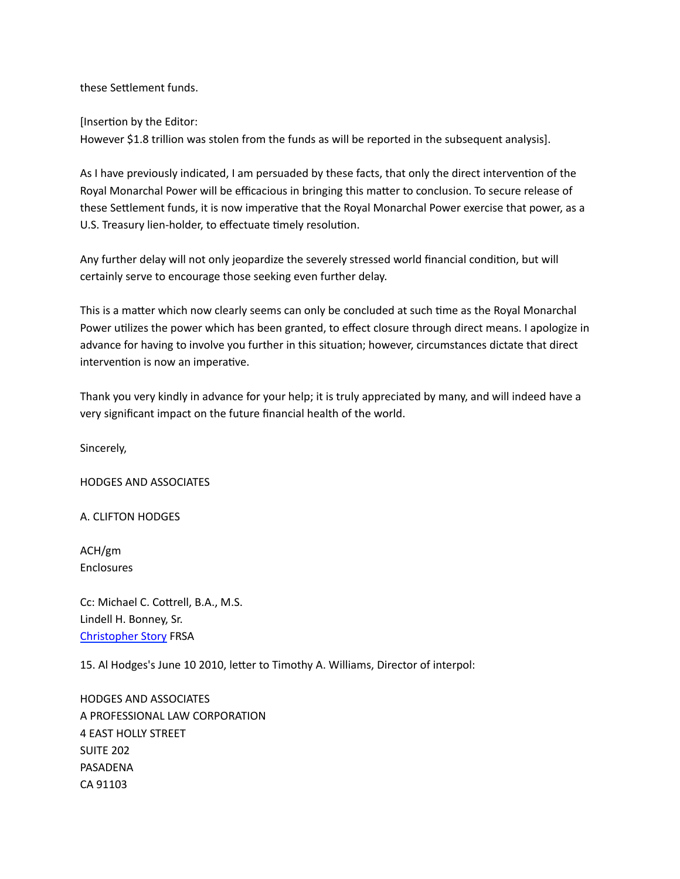these Settlement funds.

[Insertion by the Editor:

However \$1.8 trillion was stolen from the funds as will be reported in the subsequent analysis].

As I have previously indicated, I am persuaded by these facts, that only the direct intervention of the Royal Monarchal Power will be efficacious in bringing this matter to conclusion. To secure release of these Settlement funds, it is now imperative that the Royal Monarchal Power exercise that power, as a U.S. Treasury lien-holder, to effectuate timely resolution.

Any further delay will not only jeopardize the severely stressed world financial condition, but will certainly serve to encourage those seeking even further delay.

This is a matter which now clearly seems can only be concluded at such time as the Royal Monarchal Power utilizes the power which has been granted, to effect closure through direct means. I apologize in advance for having to involve you further in this situation; however, circumstances dictate that direct intervention is now an imperative.

Thank you very kindly in advance for your help; it is truly appreciated by many, and will indeed have a very significant impact on the future financial health of the world.

Sincerely,

HODGES AND ASSOCIATES

A. CLIFTON HODGES

ACH/gm Enclosures

Cc: Michael C. Cottrell, B.A., M.S. Lindell H. Bonney, Sr. Christopher Story FRSA

15. Al Hodges's June 10 2010, letter to Timothy A. Williams, Director of interpol:

HODGES AND ASSOCIATES A PROFESSIONAL LAW CORPORATION 4 EAST HOLLY STREET **SUITE 202** PASADENA CA 91103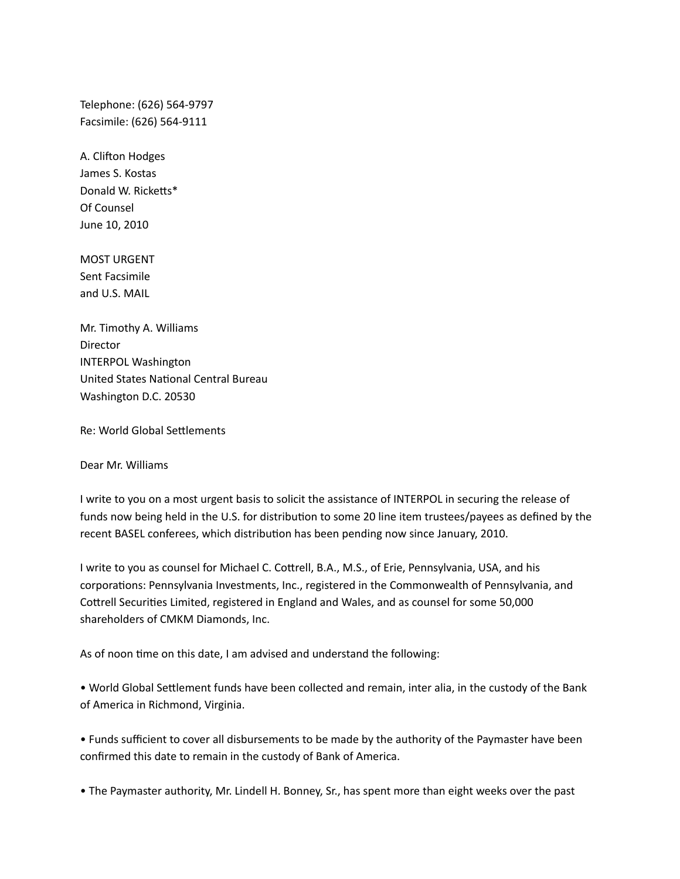Telephone: (626) 564-9797 Facsimile: (626) 564-9111

A. Clifton Hodges James S. Kostas Donald W. Ricketts\* Of Counsel June 10, 2010

**MOST URGENT** Sent Facsimile and U.S. MAIL

Mr. Timothy A. Williams **Director** INTERPOL Washington United States National Central Bureau Washington D.C. 20530

Re: World Global Settlements

Dear Mr. Williams

I write to you on a most urgent basis to solicit the assistance of INTERPOL in securing the release of funds now being held in the U.S. for distribution to some 20 line item trustees/payees as defined by the recent BASEL conferees, which distribution has been pending now since January, 2010.

I write to you as counsel for Michael C. Cottrell, B.A., M.S., of Erie, Pennsylvania, USA, and his corporations: Pennsylvania Investments, Inc., registered in the Commonwealth of Pennsylvania, and Cottrell Securities Limited, registered in England and Wales, and as counsel for some 50,000 shareholders of CMKM Diamonds, Inc.

As of noon time on this date, I am advised and understand the following:

• World Global Settlement funds have been collected and remain, inter alia, in the custody of the Bank of America in Richmond, Virginia.

• Funds sufficient to cover all disbursements to be made by the authority of the Paymaster have been confirmed this date to remain in the custody of Bank of America.

• The Paymaster authority, Mr. Lindell H. Bonney, Sr., has spent more than eight weeks over the past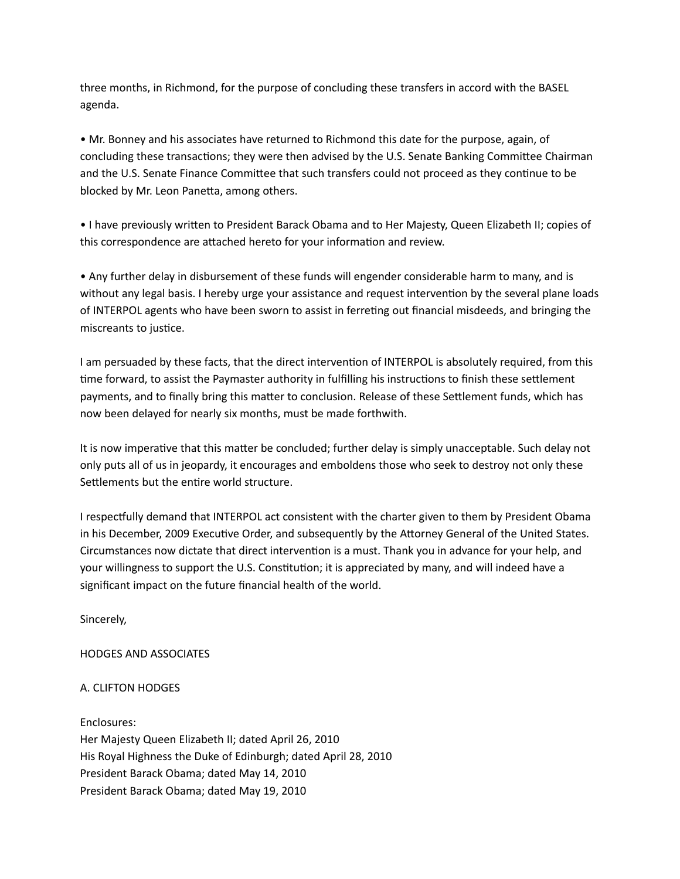three months, in Richmond, for the purpose of concluding these transfers in accord with the BASEL agenda.

• Mr. Bonney and his associates have returned to Richmond this date for the purpose, again, of concluding these transactions; they were then advised by the U.S. Senate Banking Committee Chairman and the U.S. Senate Finance Committee that such transfers could not proceed as they continue to be blocked by Mr. Leon Panetta, among others.

• I have previously written to President Barack Obama and to Her Majesty, Queen Elizabeth II; copies of this correspondence are attached hereto for your information and review.

• Any further delay in disbursement of these funds will engender considerable harm to many, and is without any legal basis. I hereby urge your assistance and request intervention by the several plane loads of INTERPOL agents who have been sworn to assist in ferreting out financial misdeeds, and bringing the miscreants to justice.

I am persuaded by these facts, that the direct intervention of INTERPOL is absolutely required, from this time forward, to assist the Paymaster authority in fulfilling his instructions to finish these settlement payments, and to finally bring this matter to conclusion. Release of these Settlement funds, which has now been delayed for nearly six months, must be made forthwith.

It is now imperative that this matter be concluded; further delay is simply unacceptable. Such delay not only puts all of us in jeopardy, it encourages and emboldens those who seek to destroy not only these Settlements but the entire world structure.

I respectfully demand that INTERPOL act consistent with the charter given to them by President Obama in his December, 2009 Executive Order, and subsequently by the Attorney General of the United States. Circumstances now dictate that direct intervention is a must. Thank you in advance for your help, and your willingness to support the U.S. Constitution; it is appreciated by many, and will indeed have a significant impact on the future financial health of the world.

Sincerely,

HODGES AND ASSOCIATES

A. CLIFTON HODGES

Enclosures:# Her Majesty Queen Elizabeth II; dated April 26, 2010 His Royal Highness the Duke of Edinburgh; dated April 28, 2010 President Barack Obama; dated May 14, 2010 President Barack Obama; dated May 19, 2010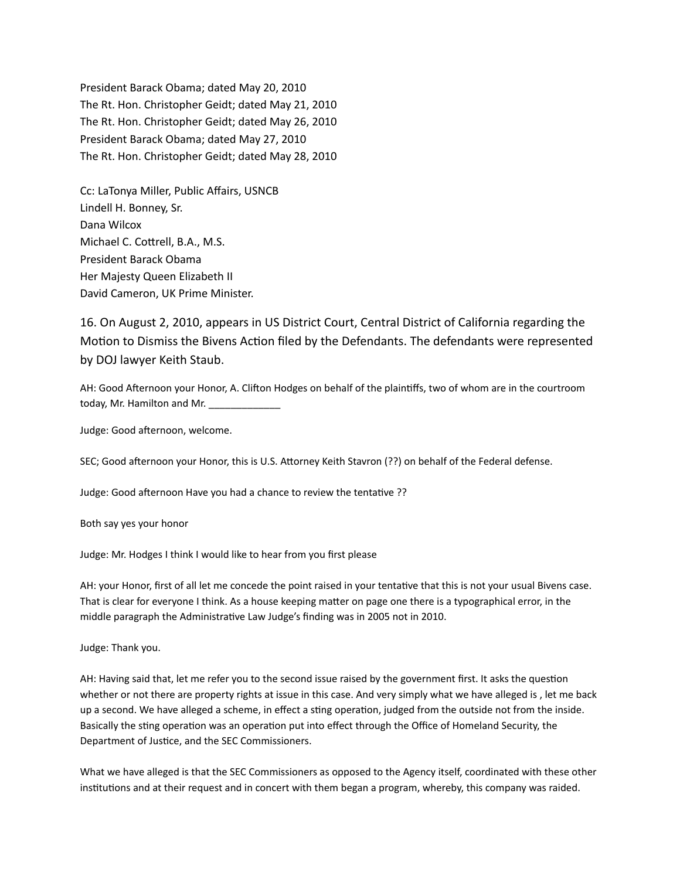President Barack Obama; dated May 20, 2010 The Rt. Hon. Christopher Geidt; dated May 21, 2010 The Rt. Hon. Christopher Geidt; dated May 26, 2010 President Barack Obama; dated May 27, 2010 The Rt. Hon. Christopher Geidt; dated May 28, 2010

Cc: LaTonya Miller, Public Affairs, USNCB Lindell H. Bonney, Sr. Dana Wilcox Michael C. Cottrell, B.A., M.S. President#Barack#Obama Her Majesty Queen Elizabeth II David Cameron, UK Prime Minister.

16. On August 2, 2010, appears in US District Court, Central District of California regarding the Motion to Dismiss the Bivens Action filed by the Defendants. The defendants were represented by DOJ lawyer Keith Staub.

AH: Good Afternoon your Honor, A. Clifton Hodges on behalf of the plaintiffs, two of whom are in the courtroom today, Mr. Hamilton and Mr. \_\_\_\_\_\_\_\_\_\_\_\_\_\_

Judge: Good afternoon, welcome.

SEC; Good afternoon your Honor, this is U.S. Attorney Keith Stavron (??) on behalf of the Federal defense.

Judge: Good afternoon Have you had a chance to review the tentative ??

Both say yes your honor

Judge: Mr. Hodges I think I would like to hear from you first please

AH: your Honor, first of all let me concede the point raised in your tentative that this is not your usual Bivens case. That is clear for everyone I think. As a house keeping matter on page one there is a typographical error, in the middle paragraph the Administrative Law Judge's finding was in 2005 not in 2010.

Judge: Thank you.

AH: Having said that, let me refer you to the second issue raised by the government first. It asks the question whether or not there are property rights at issue in this case. And very simply what we have alleged is , let me back up a second. We have alleged a scheme, in effect a sting operation, judged from the outside not from the inside. Basically the sting operation was an operation put into effect through the Office of Homeland Security, the Department of Justice, and the SEC Commissioners.

What we have alleged is that the SEC Commissioners as opposed to the Agency itself, coordinated with these other institutions and at their request and in concert with them began a program, whereby, this company was raided.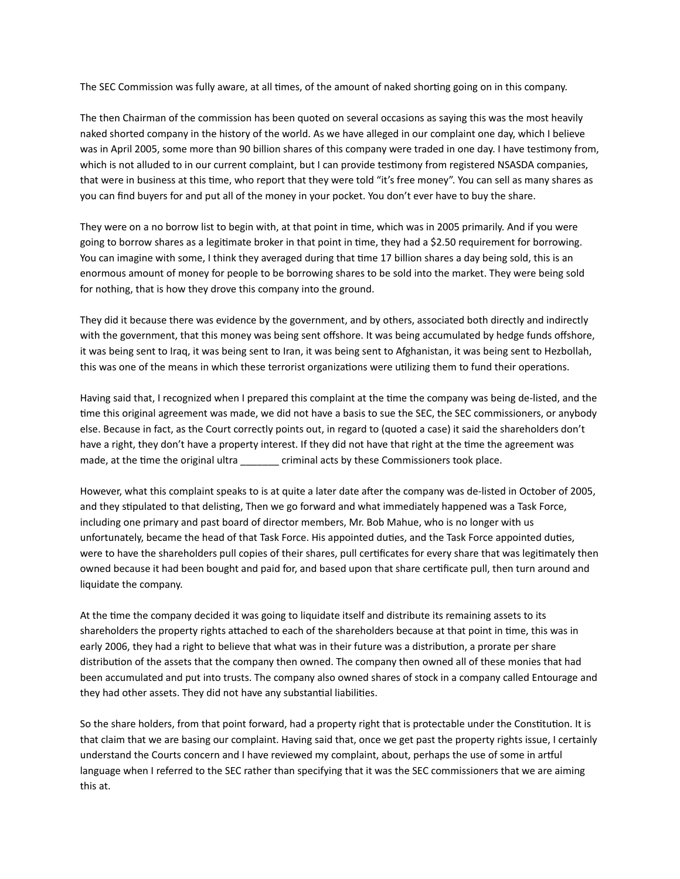The SEC Commission was fully aware, at all times, of the amount of naked shorting going on in this company.

The then Chairman of the commission has been quoted on several occasions as saying this was the most heavily naked shorted company in the history of the world. As we have alleged in our complaint one day, which I believe was in April 2005, some more than 90 billion shares of this company were traded in one day. I have testimony from, which is not alluded to in our current complaint, but I can provide testimony from registered NSASDA companies, that were in business at this time, who report that they were told "it's free money". You can sell as many shares as you can find buyers for and put all of the money in your pocket. You don't ever have to buy the share.

They were on a no borrow list to begin with, at that point in time, which was in 2005 primarily. And if you were going to borrow shares as a legitimate broker in that point in time, they had a \$2.50 requirement for borrowing. You can imagine with some, I think they averaged during that time 17 billion shares a day being sold, this is an enormous amount of money for people to be borrowing shares to be sold into the market. They were being sold for nothing, that is how they drove this company into the ground.

They did it because there was evidence by the government, and by others, associated both directly and indirectly with the government, that this money was being sent offshore. It was being accumulated by hedge funds offshore, it was being sent to Iraq, it was being sent to Iran, it was being sent to Afghanistan, it was being sent to Hezbollah, this was one of the means in which these terrorist organizations were utilizing them to fund their operations.

Having said that, I recognized when I prepared this complaint at the time the company was being de-listed, and the time this original agreement was made, we did not have a basis to sue the SEC, the SEC commissioners, or anybody else. Because in fact, as the Court correctly points out, in regard to (quoted a case) it said the shareholders don't have a right, they don't have a property interest. If they did not have that right at the time the agreement was made, at the time the original ultra example acts by these Commissioners took place.

However, what this complaint speaks to is at quite a later date after the company was de-listed in October of 2005, and they stipulated to that delisting, Then we go forward and what immediately happened was a Task Force, including one primary and past board of director members, Mr. Bob Mahue, who is no longer with us unfortunately, became the head of that Task Force. His appointed duties, and the Task Force appointed duties, were to have the shareholders pull copies of their shares, pull certificates for every share that was legitimately then owned because it had been bought and paid for, and based upon that share certificate pull, then turn around and liquidate the company.

At the time the company decided it was going to liquidate itself and distribute its remaining assets to its shareholders the property rights attached to each of the shareholders because at that point in time, this was in early 2006, they had a right to believe that what was in their future was a distribution, a prorate per share distribution of the assets that the company then owned. The company then owned all of these monies that had been accumulated and put into trusts. The company also owned shares of stock in a company called Entourage and they had other assets. They did not have any substantial liabilities.

So the share holders, from that point forward, had a property right that is protectable under the Constitution. It is that claim that we are basing our complaint. Having said that, once we get past the property rights issue, I certainly understand the Courts concern and I have reviewed my complaint, about, perhaps the use of some in artful language when I referred to the SEC rather than specifying that it was the SEC commissioners that we are aiming this at.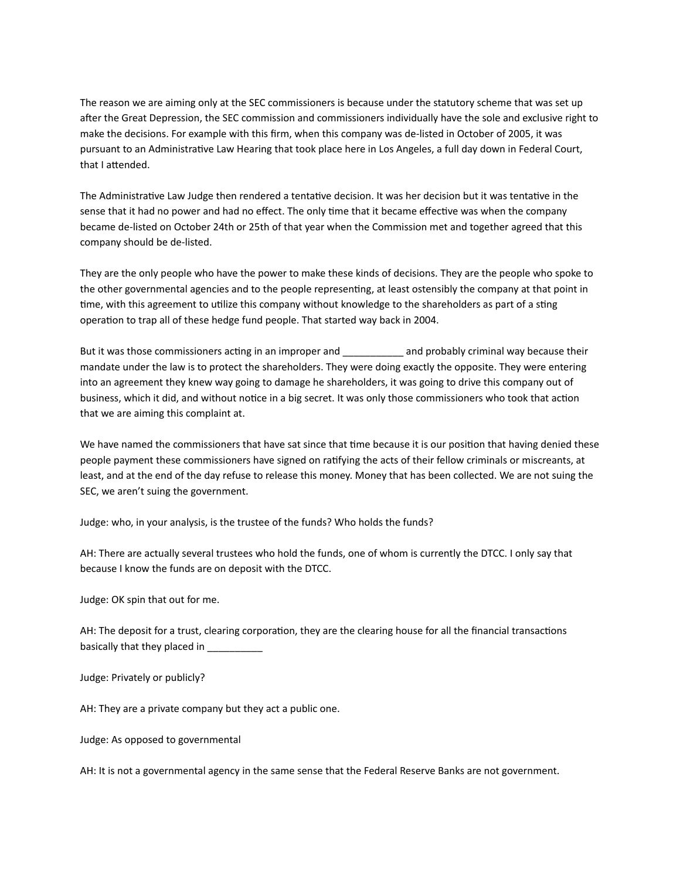The reason we are aiming only at the SEC commissioners is because under the statutory scheme that was set up after the Great Depression, the SEC commission and commissioners individually have the sole and exclusive right to make the decisions. For example with this firm, when this company was de-listed in October of 2005, it was pursuant to an Administrative Law Hearing that took place here in Los Angeles, a full day down in Federal Court, that I attended.

The Administrative Law Judge then rendered a tentative decision. It was her decision but it was tentative in the sense that it had no power and had no effect. The only time that it became effective was when the company became de-listed on October 24th or 25th of that year when the Commission met and together agreed that this company should be de-listed.

They are the only people who have the power to make these kinds of decisions. They are the people who spoke to the other governmental agencies and to the people representing, at least ostensibly the company at that point in time, with this agreement to utilize this company without knowledge to the shareholders as part of a sting operation to trap all of these hedge fund people. That started way back in 2004.

But it was those commissioners acting in an improper and and probably criminal way because their mandate under the law is to protect the shareholders. They were doing exactly the opposite. They were entering into an agreement they knew way going to damage he shareholders, it was going to drive this company out of business, which it did, and without notice in a big secret. It was only those commissioners who took that action that we are aiming this complaint at.

We have named the commissioners that have sat since that time because it is our position that having denied these people payment these commissioners have signed on ratifying the acts of their fellow criminals or miscreants, at least, and at the end of the day refuse to release this money. Money that has been collected. We are not suing the SEC, we aren't suing the government.

Judge: who, in your analysis, is the trustee of the funds? Who holds the funds?

AH: There are actually several trustees who hold the funds, one of whom is currently the DTCC. I only say that because I know the funds are on deposit with the DTCC.

Judge: OK spin that out for me.

AH: The deposit for a trust, clearing corporation, they are the clearing house for all the financial transactions basically#that#they#placed#in#\_\_\_\_\_\_\_\_\_\_

Judge: Privately or publicly?

AH: They are a private company but they act a public one.

Judge: As opposed to governmental

AH: It is not a governmental agency in the same sense that the Federal Reserve Banks are not government.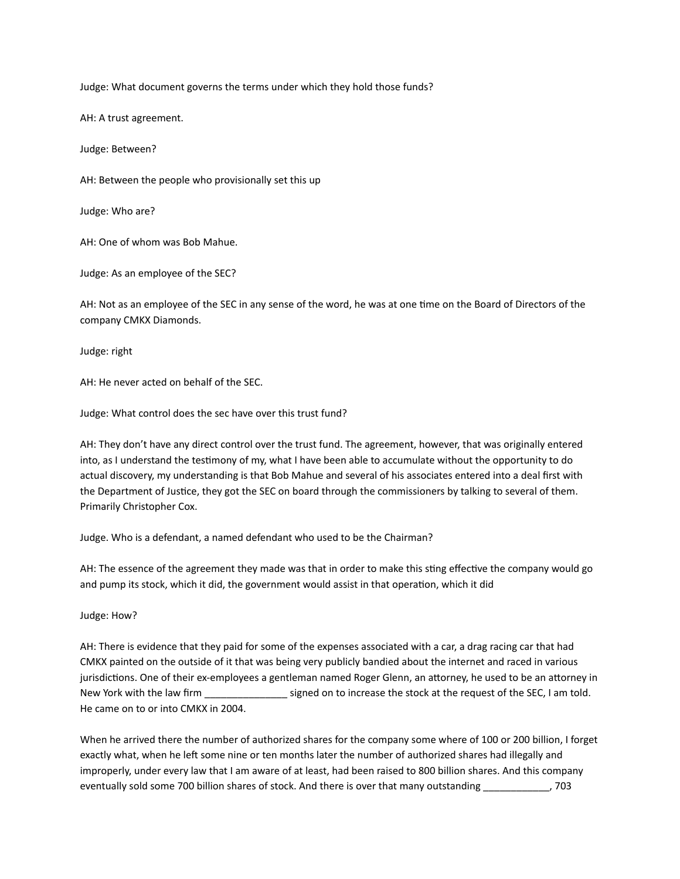Judge: What document governs the terms under which they hold those funds?

AH: A trust agreement.

Judge: Between?

AH: Between the people who provisionally set this up

Judge: Who are?

AH: One of whom was Bob Mahue.

Judge: As an employee of the SEC?

AH: Not as an employee of the SEC in any sense of the word, he was at one time on the Board of Directors of the company CMKX Diamonds.

Judge: right

AH: He never acted on behalf of the SEC.

Judge: What control does the sec have over this trust fund?

AH: They don't have any direct control over the trust fund. The agreement, however, that was originally entered into, as I understand the testimony of my, what I have been able to accumulate without the opportunity to do actual discovery, my understanding is that Bob Mahue and several of his associates entered into a deal first with the Department of Justice, they got the SEC on board through the commissioners by talking to several of them. Primarily Christopher Cox.

Judge. Who is a defendant, a named defendant who used to be the Chairman?

AH: The essence of the agreement they made was that in order to make this sting effective the company would go and pump its stock, which it did, the government would assist in that operation, which it did

Judge: How?

AH: There is evidence that they paid for some of the expenses associated with a car, a drag racing car that had CMKX painted on the outside of it that was being very publicly bandied about the internet and raced in various jurisdictions. One of their ex-employees a gentleman named Roger Glenn, an attorney, he used to be an attorney in New York with the law firm \_\_\_\_\_\_\_\_\_\_\_\_\_\_\_\_\_\_\_\_\_ signed on to increase the stock at the request of the SEC, I am told. He came on to or into CMKX in 2004.

When he arrived there the number of authorized shares for the company some where of 100 or 200 billion, I forget exactly what, when he left some nine or ten months later the number of authorized shares had illegally and improperly, under every law that I am aware of at least, had been raised to 800 billion shares. And this company eventually sold some 700 billion shares of stock. And there is over that many outstanding \_\_\_\_\_\_\_\_\_\_\_\_, 703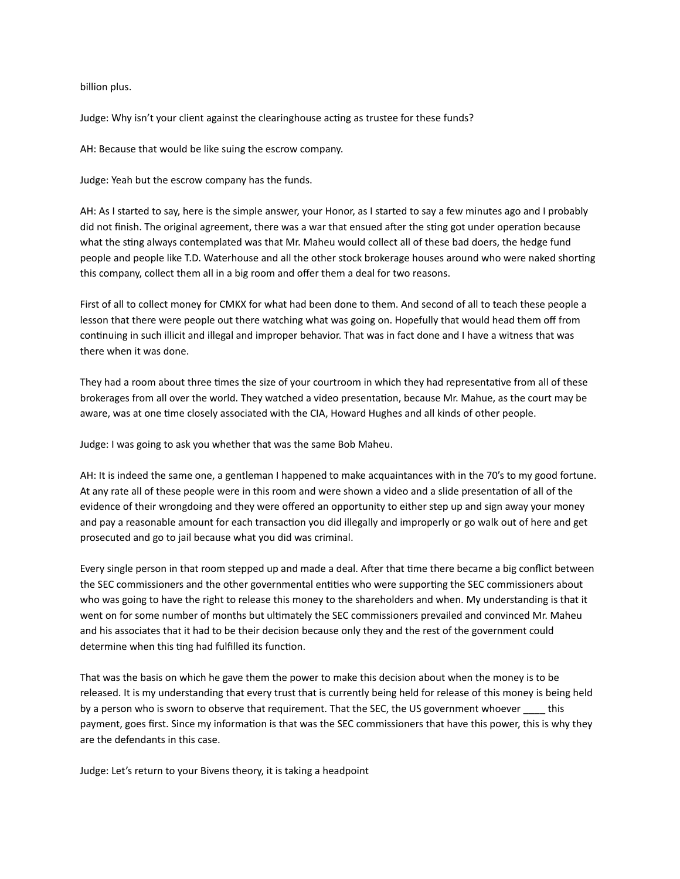billion plus.

Judge: Why isn't your client against the clearinghouse acting as trustee for these funds?

AH: Because that would be like suing the escrow company.

Judge: Yeah but the escrow company has the funds.

AH: As I started to say, here is the simple answer, your Honor, as I started to say a few minutes ago and I probably did not finish. The original agreement, there was a war that ensued after the sting got under operation because what the sting always contemplated was that Mr. Maheu would collect all of these bad doers, the hedge fund people and people like T.D. Waterhouse and all the other stock brokerage houses around who were naked shorting this company, collect them all in a big room and offer them a deal for two reasons.

First of all to collect money for CMKX for what had been done to them. And second of all to teach these people a lesson that there were people out there watching what was going on. Hopefully that would head them off from continuing in such illicit and illegal and improper behavior. That was in fact done and I have a witness that was there when it was done.

They had a room about three times the size of your courtroom in which they had representative from all of these brokerages from all over the world. They watched a video presentation, because Mr. Mahue, as the court may be aware, was at one time closely associated with the CIA, Howard Hughes and all kinds of other people.

Judge: I was going to ask you whether that was the same Bob Maheu.

AH: It is indeed the same one, a gentleman I happened to make acquaintances with in the 70's to my good fortune. At any rate all of these people were in this room and were shown a video and a slide presentation of all of the evidence of their wrongdoing and they were offered an opportunity to either step up and sign away your money and pay a reasonable amount for each transaction you did illegally and improperly or go walk out of here and get prosecuted and go to jail because what you did was criminal.

Every single person in that room stepped up and made a deal. After that time there became a big conflict between the SEC commissioners and the other governmental entities who were supporting the SEC commissioners about who was going to have the right to release this money to the shareholders and when. My understanding is that it went on for some number of months but ultimately the SEC commissioners prevailed and convinced Mr. Maheu and his associates that it had to be their decision because only they and the rest of the government could determine when this ting had fulfilled its function.

That was the basis on which he gave them the power to make this decision about when the money is to be released. It is my understanding that every trust that is currently being held for release of this money is being held by a person who is sworn to observe that requirement. That the SEC, the US government whoever \_\_\_\_ this payment, goes first. Since my information is that was the SEC commissioners that have this power, this is why they are the defendants in this case.

Judge: Let's return to your Bivens theory, it is taking a headpoint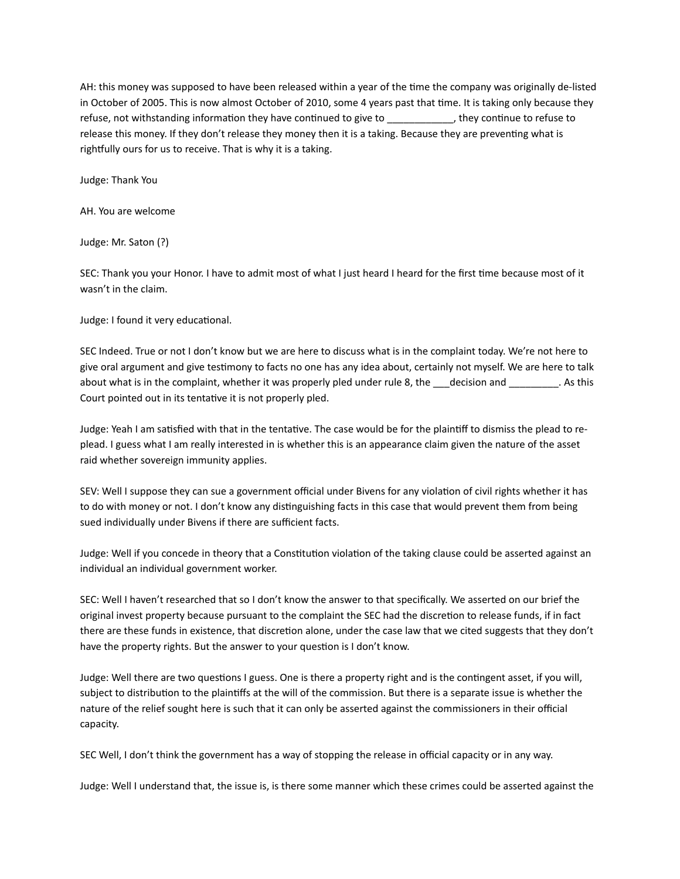AH: this money was supposed to have been released within a year of the time the company was originally de-listed in October of 2005. This is now almost October of 2010, some 4 years past that time. It is taking only because they refuse, not withstanding information they have continued to give to \_\_\_\_\_\_\_\_\_\_\_\_, they continue to refuse to release this money. If they don't release they money then it is a taking. Because they are preventing what is rightfully ours for us to receive. That is why it is a taking.

Judge: Thank You

AH. You are welcome

Judge: Mr. Saton (?)

SEC: Thank you your Honor. I have to admit most of what I just heard I heard for the first time because most of it wasn't in the claim.

Judge: I found it very educational.

SEC Indeed. True or not I don't know but we are here to discuss what is in the complaint today. We're not here to give oral argument and give testimony to facts no one has any idea about, certainly not myself. We are here to talk about what is in the complaint, whether it was properly pled under rule 8, the \_\_\_decision and \_\_\_\_\_\_\_\_\_. As this Court pointed out in its tentative it is not properly pled.

Judge: Yeah I am satisfied with that in the tentative. The case would be for the plaintiff to dismiss the plead to replead. I guess what I am really interested in is whether this is an appearance claim given the nature of the asset raid whether sovereign immunity applies.

SEV: Well I suppose they can sue a government official under Bivens for any violation of civil rights whether it has to do with money or not. I don't know any distinguishing facts in this case that would prevent them from being sued individually under Bivens if there are sufficient facts.

Judge: Well if you concede in theory that a Constitution violation of the taking clause could be asserted against an individual an individual government worker.

SEC: Well I haven't researched that so I don't know the answer to that specifically. We asserted on our brief the original invest property because pursuant to the complaint the SEC had the discretion to release funds, if in fact there are these funds in existence, that discretion alone, under the case law that we cited suggests that they don't have the property rights. But the answer to your question is I don't know.

Judge: Well there are two questions I guess. One is there a property right and is the contingent asset, if you will, subject to distribution to the plaintiffs at the will of the commission. But there is a separate issue is whether the nature of the relief sought here is such that it can only be asserted against the commissioners in their official capacity.

SEC Well, I don't think the government has a way of stopping the release in official capacity or in any way.

Judge: Well I understand that, the issue is, is there some manner which these crimes could be asserted against the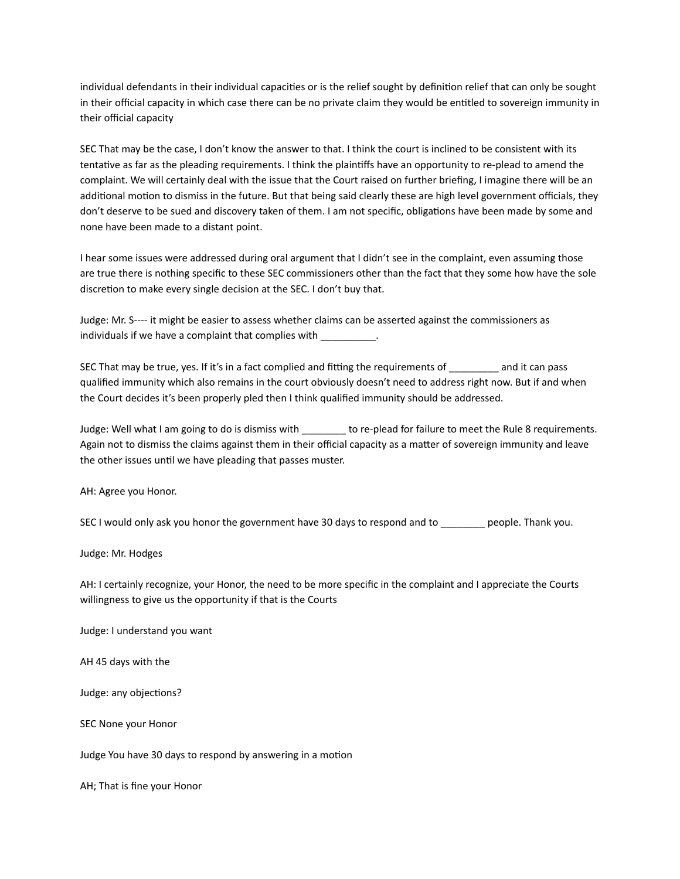individual defendants in their individual capacities or is the relief sought by definition relief that can only be sought in their official capacity in which case there can be no private claim they would be entitled to sovereign immunity in their official capacity

SEC That may be the case, I don't know the answer to that. I think the court is inclined to be consistent with its tentative as far as the pleading requirements. I think the plaintiffs have an opportunity to re-plead to amend the complaint. We will certainly deal with the issue that the Court raised on further briefing, I imagine there will be an additional motion to dismiss in the future. But that being said clearly these are high level government officials, they don't deserve to be sued and discovery taken of them. I am not specific, obligations have been made by some and none have been made to a distant point.

I hear some issues were addressed during oral argument that I didn't see in the complaint, even assuming those are true there is nothing specific to these SEC commissioners other than the fact that they some how have the sole discretion to make every single decision at the SEC. I don't buy that.

Judge: Mr. S---- it might be easier to assess whether claims can be asserted against the commissioners as individuals if we have a complaint that complies with \_\_\_\_\_\_\_\_\_\_.

SEC That may be true, yes. If it's in a fact complied and fitting the requirements of \_\_\_\_\_\_\_\_\_ and it can pass qualified immunity which also remains in the court obviously doesn't need to address right now. But if and when the Court decides it's been properly pled then I think qualified immunity should be addressed.

Judge: Well what I am going to do is dismiss with to re-plead for failure to meet the Rule 8 requirements. Again not to dismiss the claims against them in their official capacity as a matter of sovereign immunity and leave the other issues until we have pleading that passes muster.

AH: Agree you Honor.

SEC I would only ask you honor the government have 30 days to respond and to \_\_\_\_\_\_\_\_ people. Thank you.

Judge: Mr. Hodges

AH: I certainly recognize, your Honor, the need to be more specific in the complaint and I appreciate the Courts willingness to give us the opportunity if that is the Courts

Judge: I understand you want

AH 45 days with the

Judge: any objections?

SEC None your Honor

Judge You have 30 days to respond by answering in a motion

AH; That is fine your Honor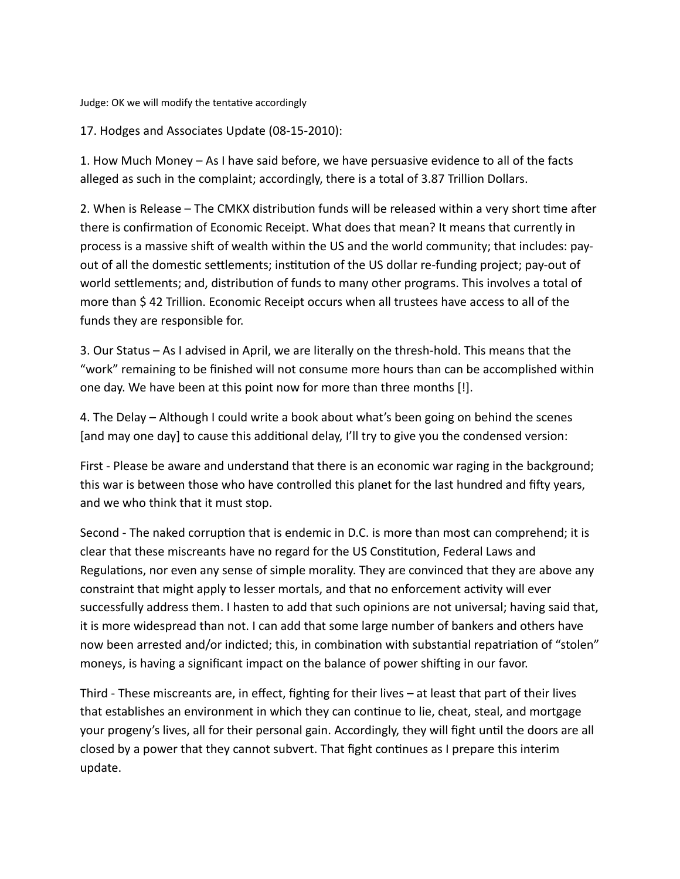Judge: OK we will modify the tentative accordingly

17. Hodges and Associates Update (08-15-2010):

1. How Much Money – As I have said before, we have persuasive evidence to all of the facts alleged as such in the complaint; accordingly, there is a total of 3.87 Trillion Dollars.

2. When is Release – The CMKX distribution funds will be released within a very short time after there is confirmation of Economic Receipt. What does that mean? It means that currently in process is a massive shift of wealth within the US and the world community; that includes: payout of all the domestic settlements; institution of the US dollar re-funding project; pay-out of world settlements; and, distribution of funds to many other programs. This involves a total of more than \$42 Trillion. Economic Receipt occurs when all trustees have access to all of the funds they are responsible for.

3. Our Status – As I advised in April, we are literally on the thresh-hold. This means that the "work" remaining to be finished will not consume more hours than can be accomplished within one day. We have been at this point now for more than three months [!].

4. The Delay – Although I could write a book about what's been going on behind the scenes [and may one day] to cause this additional delay, I'll try to give you the condensed version:

First - Please be aware and understand that there is an economic war raging in the background; this war is between those who have controlled this planet for the last hundred and fifty years, and we who think that it must stop.

Second - The naked corruption that is endemic in D.C. is more than most can comprehend; it is clear that these miscreants have no regard for the US Constitution, Federal Laws and Regulations, nor even any sense of simple morality. They are convinced that they are above any constraint that might apply to lesser mortals, and that no enforcement activity will ever successfully address them. I hasten to add that such opinions are not universal; having said that, it is more widespread than not. I can add that some large number of bankers and others have now been arrested and/or indicted; this, in combination with substantial repatriation of "stolen" moneys, is having a significant impact on the balance of power shifting in our favor.

Third - These miscreants are, in effect, fighting for their lives – at least that part of their lives that establishes an environment in which they can continue to lie, cheat, steal, and mortgage your progeny's lives, all for their personal gain. Accordingly, they will fight until the doors are all closed by a power that they cannot subvert. That fight continues as I prepare this interim update.